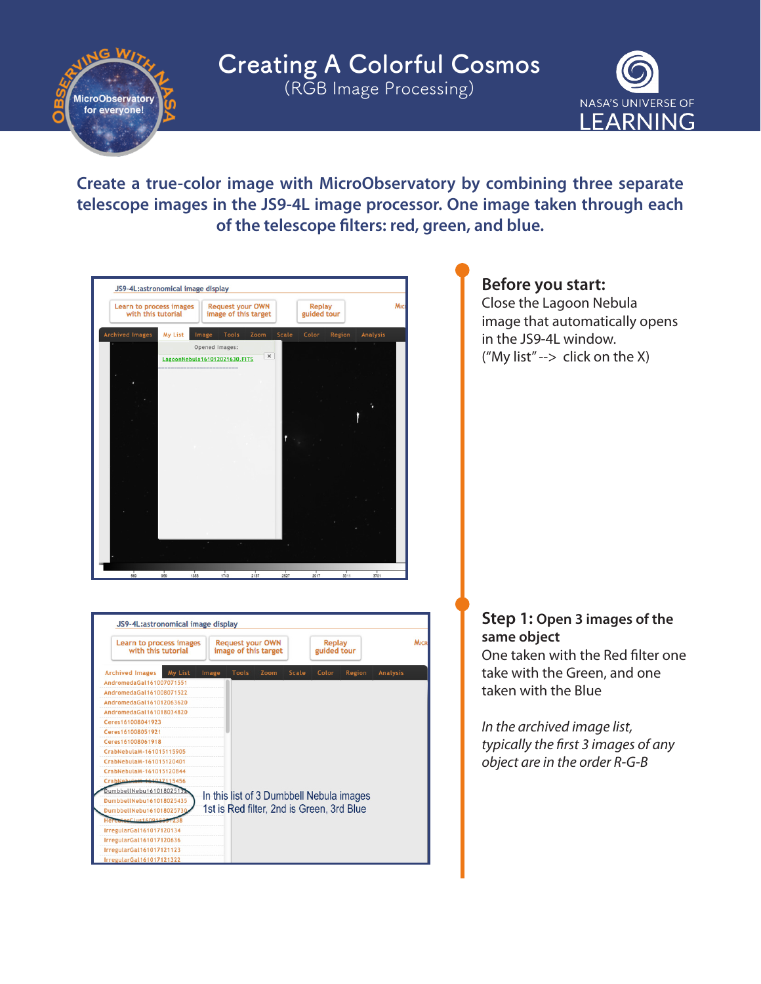Creating A Colorful Cosmos (RGB Image Processing) **MicroObservatory** 

for everyone!



**Create a true-color image with MicroObservatory by combining three separate telescope images in the JS9-4L image processor. One image taken through each of the telescope filters: red, green, and blue.**